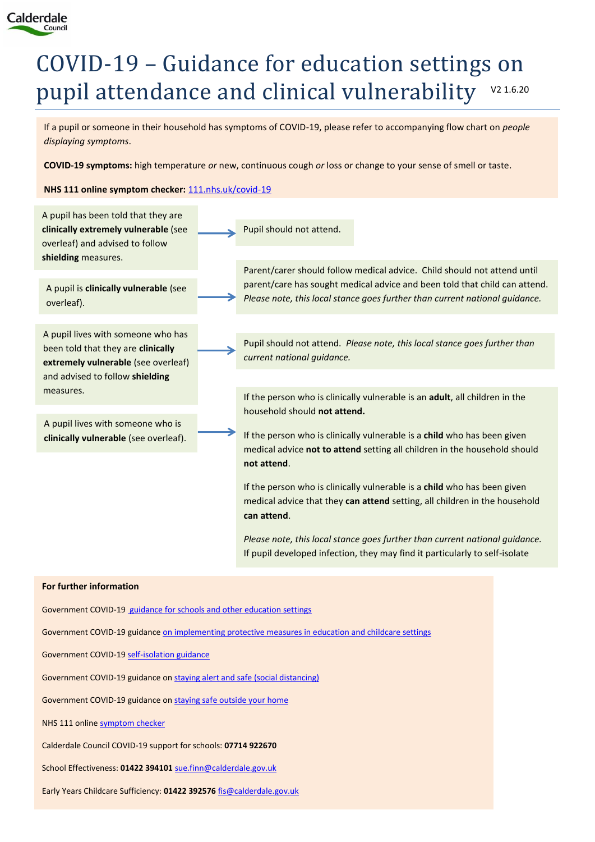

# COVID-19 – Guidance for education settings on pupil attendance and clinical vulnerability V2 1.6.20

If a pupil or someone in their household has symptoms of COVID-19, please refer to accompanying flow chart on *people displaying symptoms*.

**COVID-19 symptoms:** high temperature *or* new, continuous cough *or* loss or change to your sense of smell or taste.

**NHS 111 online symptom checker:** [111.nhs.uk/covid-19](https://111.nhs.uk/covid-19/)



Early Years Childcare Sufficiency: **01422 392576** [fis@calderdale.gov.uk](mailto:fis@calderdale.gov.uk)